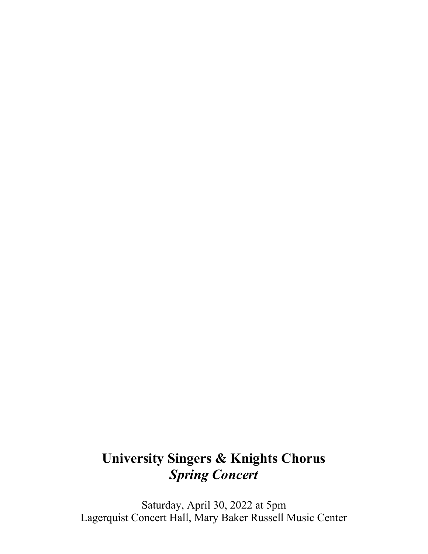# **University Singers & Knights Chorus** *Spring Concert*

Saturday, April 30, 2022 at 5pm Lagerquist Concert Hall, Mary Baker Russell Music Center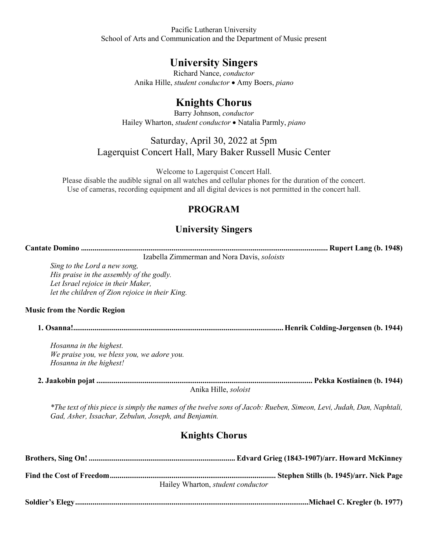Pacific Lutheran University School of Arts and Communication and the Department of Music present

## **University Singers**

Richard Nance, *conductor* Anika Hille, *student conductor* • Amy Boers, *piano*

## **Knights Chorus**

Barry Johnson, *conductor* Hailey Wharton, *student conductor* • Natalia Parmly, *piano* 

## Saturday, April 30, 2022 at 5pm Lagerquist Concert Hall, Mary Baker Russell Music Center

Welcome to Lagerquist Concert Hall.

Please disable the audible signal on all watches and cellular phones for the duration of the concert. Use of cameras, recording equipment and all digital devices is not permitted in the concert hall.

## **PROGRAM**

## **University Singers**

| Izabella Zimmerman and Nora Davis, soloists          |                                                                                                                      |
|------------------------------------------------------|----------------------------------------------------------------------------------------------------------------------|
| Sing to the Lord a new song,                         |                                                                                                                      |
| His praise in the assembly of the godly.             |                                                                                                                      |
| Let Israel rejoice in their Maker,                   |                                                                                                                      |
| let the children of Zion rejoice in their King.      |                                                                                                                      |
| <b>Music from the Nordic Region</b>                  |                                                                                                                      |
|                                                      |                                                                                                                      |
| Hosanna in the highest.                              |                                                                                                                      |
| We praise you, we bless you, we adore you.           |                                                                                                                      |
| Hosanna in the highest!                              |                                                                                                                      |
|                                                      |                                                                                                                      |
| Anika Hille, soloist                                 |                                                                                                                      |
| Gad, Asher, Issachar, Zebulun, Joseph, and Benjamin. | *The text of this piece is simply the names of the twelve sons of Jacob: Rueben, Simeon, Levi, Judah, Dan, Naphtali, |

## **Knights Chorus**

**Brothers, Sing On! ............................................................................ Edvard Grieg (1843-1907)/arr. Howard McKinney Find the Cost of Freedom ...................................................................................... Stephen Stills (b. 1945)/arr. Nick Page**  Hailey Wharton, *student conductor* **Soldier's Elegy .........................................................................................................................Michael C. Kregler (b. 1977)**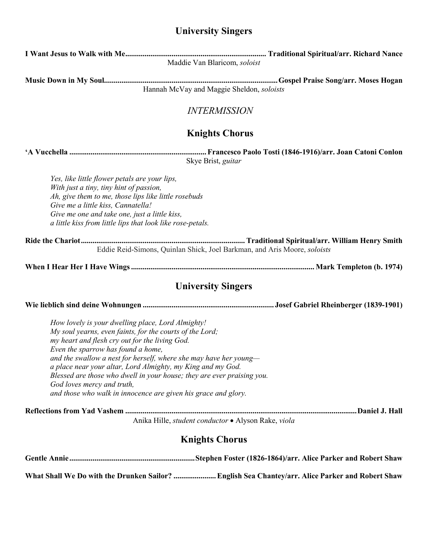## **University Singers**

|                                                                                                                                                                                                                                                                                                                                                                      | Maddie Van Blaricom, soloist                                                                                                                |
|----------------------------------------------------------------------------------------------------------------------------------------------------------------------------------------------------------------------------------------------------------------------------------------------------------------------------------------------------------------------|---------------------------------------------------------------------------------------------------------------------------------------------|
|                                                                                                                                                                                                                                                                                                                                                                      | Hannah McVay and Maggie Sheldon, soloists                                                                                                   |
|                                                                                                                                                                                                                                                                                                                                                                      | <b>INTERMISSION</b>                                                                                                                         |
|                                                                                                                                                                                                                                                                                                                                                                      | <b>Knights Chorus</b>                                                                                                                       |
|                                                                                                                                                                                                                                                                                                                                                                      | Skye Brist, guitar                                                                                                                          |
| Yes, like little flower petals are your lips,<br>With just a tiny, tiny hint of passion,<br>Ah, give them to me, those lips like little rosebuds<br>Give me a little kiss, Cannatella!<br>Give me one and take one, just a little kiss,<br>a little kiss from little lips that look like rose-petals.                                                                |                                                                                                                                             |
|                                                                                                                                                                                                                                                                                                                                                                      | Eddie Reid-Simons, Quinlan Shick, Joel Barkman, and Aris Moore, soloists                                                                    |
|                                                                                                                                                                                                                                                                                                                                                                      |                                                                                                                                             |
|                                                                                                                                                                                                                                                                                                                                                                      |                                                                                                                                             |
|                                                                                                                                                                                                                                                                                                                                                                      | <b>University Singers</b>                                                                                                                   |
|                                                                                                                                                                                                                                                                                                                                                                      |                                                                                                                                             |
| How lovely is your dwelling place, Lord Almighty!<br>My soul yearns, even faints, for the courts of the Lord;<br>my heart and flesh cry out for the living God.<br>Even the sparrow has found a home,<br>a place near your altar, Lord Almighty, my King and my God.<br>God loves mercy and truth,<br>and those who walk in innocence are given his grace and glory. | and the swallow a nest for herself, where she may have her young-<br>Blessed are those who dwell in your house; they are ever praising you. |
|                                                                                                                                                                                                                                                                                                                                                                      |                                                                                                                                             |
|                                                                                                                                                                                                                                                                                                                                                                      | Anika Hille, student conductor · Alyson Rake, viola                                                                                         |
|                                                                                                                                                                                                                                                                                                                                                                      | <b>Knights Chorus</b>                                                                                                                       |

**What Shall We Do with the Drunken Sailor? ...................... English Sea Chantey/arr. Alice Parker and Robert Shaw**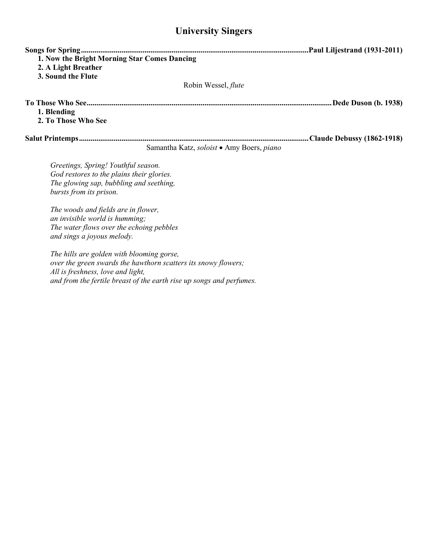## **University Singers**

| 1. Now the Bright Morning Star Comes Dancing<br>2. A Light Breather<br>3. Sound the Flute                                                              |                                           |
|--------------------------------------------------------------------------------------------------------------------------------------------------------|-------------------------------------------|
|                                                                                                                                                        | Robin Wessel, <i>flute</i>                |
| 1. Blending<br>2. To Those Who See                                                                                                                     |                                           |
|                                                                                                                                                        | Samantha Katz, soloist • Amy Boers, piano |
| Greetings, Spring! Youthful season.<br>God restores to the plains their glories.<br>The glowing sap, bubbling and seething,<br>bursts from its prison. |                                           |
| The woods and fields are in flower,<br>an invisible world is humming;<br>The water flows over the echoing pebbles<br>and sings a joyous melody.        |                                           |

*The hills are golden with blooming gorse, over the green swards the hawthorn scatters its snowy flowers; All is freshness, love and light, and from the fertile breast of the earth rise up songs and perfumes.*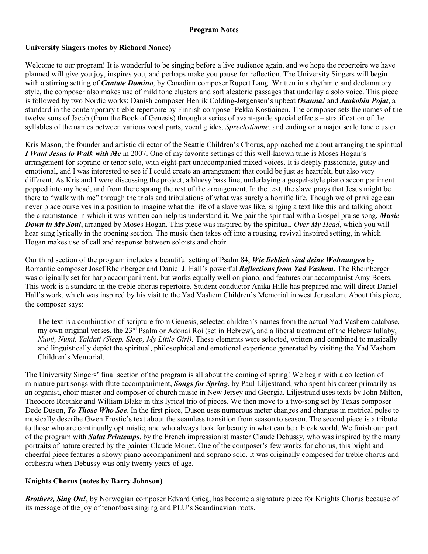### **Program Notes**

### **University Singers (notes by Richard Nance)**

Welcome to our program! It is wonderful to be singing before a live audience again, and we hope the repertoire we have planned will give you joy, inspires you, and perhaps make you pause for reflection. The University Singers will begin with a stirring setting of *Cantate Domino*, by Canadian composer Rupert Lang. Written in a rhythmic and declamatory style, the composer also makes use of mild tone clusters and soft aleatoric passages that underlay a solo voice. This piece is followed by two Nordic works: Danish composer Henrik Colding-Jørgensen's upbeat *Osanna!* and *Jaakobin Pojat*, a standard in the contemporary treble repertoire by Finnish composer Pekka Kostiainen. The composer sets the names of the twelve sons of Jacob (from the Book of Genesis) through a series of avant-garde special effects – stratification of the syllables of the names between various vocal parts, vocal glides, *Sprechstimme*, and ending on a major scale tone cluster.

Kris Mason, the founder and artistic director of the Seattle Children's Chorus, approached me about arranging the spiritual *I Want Jesus to Walk with Me* in 2007. One of my favorite settings of this well-known tune is Moses Hogan's arrangement for soprano or tenor solo, with eight-part unaccompanied mixed voices. It is deeply passionate, gutsy and emotional, and I was interested to see if I could create an arrangement that could be just as heartfelt, but also very different. As Kris and I were discussing the project, a bluesy bass line, underlaying a gospel-style piano accompaniment popped into my head, and from there sprang the rest of the arrangement. In the text, the slave prays that Jesus might be there to "walk with me" through the trials and tribulations of what was surely a horrific life. Though we of privilege can never place ourselves in a position to imagine what the life of a slave was like, singing a text like this and talking about the circumstance in which it was written can help us understand it. We pair the spiritual with a Gospel praise song, *Music Down in My Soul*, arranged by Moses Hogan. This piece was inspired by the spiritual, *Over My Head*, which you will hear sung lyrically in the opening section. The music then takes off into a rousing, revival inspired setting, in which Hogan makes use of call and response between soloists and choir.

Our third section of the program includes a beautiful setting of Psalm 84, *Wie lieblich sind deine Wohnungen* by Romantic composer Josef Rheinberger and Daniel J. Hall's powerful *Reflections from Yad Vashem*. The Rheinberger was originally set for harp accompaniment, but works equally well on piano, and features our accompanist Amy Boers. This work is a standard in the treble chorus repertoire. Student conductor Anika Hille has prepared and will direct Daniel Hall's work, which was inspired by his visit to the Yad Vashem Children's Memorial in west Jerusalem. About this piece, the composer says:

The text is a combination of scripture from Genesis, selected children's names from the actual Yad Vashem database, my own original verses, the 23rd Psalm or Adonai Roi (set in Hebrew), and a liberal treatment of the Hebrew lullaby, *Numi, Numi, Yaldati (Sleep, Sleep, My Little Girl).* These elements were selected, written and combined to musically and linguistically depict the spiritual, philosophical and emotional experience generated by visiting the Yad Vashem Children's Memorial.

The University Singers' final section of the program is all about the coming of spring! We begin with a collection of miniature part songs with flute accompaniment, *Songs for Spring*, by Paul Liljestrand, who spent his career primarily as an organist, choir master and composer of church music in New Jersey and Georgia. Liljestrand uses texts by John Milton, Theodore Roethke and William Blake in this lyrical trio of pieces. We then move to a two-song set by Texas composer Dede Duson, *To Those Who See*. In the first piece, Duson uses numerous meter changes and changes in metrical pulse to musically describe Gwen Frostic's text about the seamless transition from season to season. The second piece is a tribute to those who are continually optimistic, and who always look for beauty in what can be a bleak world. We finish our part of the program with *Salut Printemps*, by the French impressionist master Claude Debussy, who was inspired by the many portraits of nature created by the painter Claude Monet. One of the composer's few works for chorus, this bright and cheerful piece features a showy piano accompaniment and soprano solo. It was originally composed for treble chorus and orchestra when Debussy was only twenty years of age.

### **Knights Chorus (notes by Barry Johnson)**

*Brothers, Sing On!*, by Norwegian composer Edvard Grieg, has become a signature piece for Knights Chorus because of its message of the joy of tenor/bass singing and PLU's Scandinavian roots.